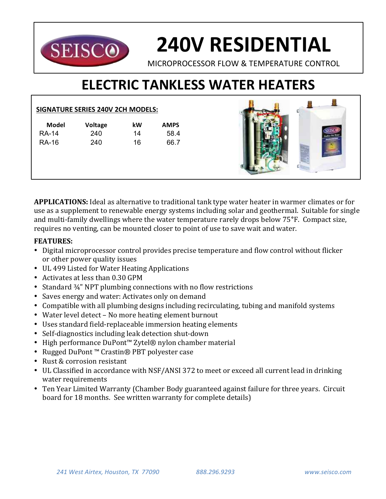

# **240V RESIDENTIAL**

MICROPROCESSOR FLOW & TEMPERATURE CONTROL

# **ELECTRIC TANKLESS WATER HEATERS**

## **SIGNATURE SERIES 240V 2CH MODELS:**

| Model        | <b>Voltage</b> | kW | <b>AMPS</b> |
|--------------|----------------|----|-------------|
| <b>RA-14</b> | 240            | 14 | 58.4        |
| RA-16        | 240            | 16 | 66.7        |
|              |                |    |             |



**APPLICATIONS:** Ideal as alternative to traditional tank type water heater in warmer climates or for use as a supplement to renewable energy systems including solar and geothermal. Suitable for single and multi-family dwellings where the water temperature rarely drops below 75<sup>°</sup>F. Compact size, requires no venting, can be mounted closer to point of use to save wait and water.

# **FEATURES:**

- Digital microprocessor control provides precise temperature and flow control without flicker or other power quality issues
- UL 499 Listed for Water Heating Applications
- Activates at less than 0.30 GPM
- Standard  $\frac{3}{4}$ " NPT plumbing connections with no flow restrictions
- Saves energy and water: Activates only on demand
- Compatible with all plumbing designs including recirculating, tubing and manifold systems
- Water level detect No more heating element burnout
- Uses standard field-replaceable immersion heating elements
- Self-diagnostics including leak detection shut-down
- High performance DuPont™ Zytel® nylon chamber material
- Rugged DuPont™ Crastin® PBT polyester case
- Rust & corrosion resistant
- UL Classified in accordance with NSF/ANSI 372 to meet or exceed all current lead in drinking water requirements
- Ten Year Limited Warranty (Chamber Body guaranteed against failure for three years. Circuit board for 18 months. See written warranty for complete details)